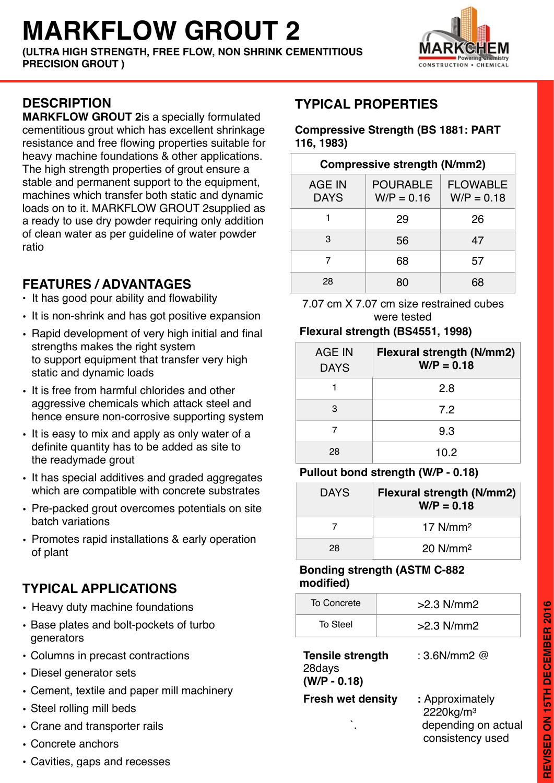# **MARKFLOW GROUT 2**

**(ULTRA HIGH STRENGTH, FREE FLOW, NON SHRINK CEMENTITIOUS PRECISION GROUT )**



### **DESCRIPTION**

**MARKFLOW GROUT 2**is a specially formulated cementitious grout which has excellent shrinkage resistance and free flowing properties suitable for heavy machine foundations & other applications. The high strength properties of grout ensure a stable and permanent support to the equipment, machines which transfer both static and dynamic loads on to it. MARKFLOW GROUT 2supplied as a ready to use dry powder requiring only addition of clean water as per guideline of water powder ratio

## **FEATURES / ADVANTAGES**

- It has good pour ability and flowability
- It is non-shrink and has got positive expansion
- Rapid development of very high initial and final strengths makes the right system to support equipment that transfer very high static and dynamic loads
- It is free from harmful chlorides and other aggressive chemicals which attack steel and hence ensure non-corrosive supporting system
- It is easy to mix and apply as only water of a definite quantity has to be added as site to the readymade grout
- It has special additives and graded aggregates which are compatible with concrete substrates
- Pre-packed grout overcomes potentials on site batch variations
- Promotes rapid installations & early operation of plant

# **TYPICAL APPLICATIONS**

- Heavy duty machine foundations
- Base plates and bolt-pockets of turbo generators
- Columns in precast contractions
- Diesel generator sets
- Cement, textile and paper mill machinery
- Steel rolling mill beds
- Crane and transporter rails
- Concrete anchors
- Cavities, gaps and recesses

# **TYPICAL PROPERTIES**

#### **Compressive Strength (BS 1881: PART 116, 1983)**

#### **Compressive strength (N/mm2)**  AGE IN DAYS POURABLE  $W/P = 0.16$ FLOWABLE  $W/P = 0.18$ 1 29 26 3 56 47 7 68 57 28 80 68

7.07 cm X 7.07 cm size restrained cubes were tested

### **Flexural strength (BS4551, 1998)**

| AGE IN<br><b>DAYS</b> | Flexural strength (N/mm2)<br>$W/P = 0.18$ |
|-----------------------|-------------------------------------------|
|                       | 2.8                                       |
| 3                     | 72                                        |
|                       | 9.3                                       |
| 28                    | 10.2                                      |

### **Pullout bond strength (W/P - 0.18)**

| <b>DAYS</b> | Flexural strength (N/mm2)<br>$W/P = 0.18$ |
|-------------|-------------------------------------------|
|             | 17 $N/mm2$                                |
| 28          | $20$ N/mm <sup>2</sup>                    |

### **Bonding strength (ASTM C-882 modified)**

| To Concrete | $>2.3$ N/mm2 |
|-------------|--------------|
| To Steel    | $>2.3$ N/mm2 |

**Tensile strength** : 3.6N/mm2 @ 28days **(W/P - 0.18)**

**Fresh wet density : Approximately** 

 2220kg/m3 depending on actual consistency used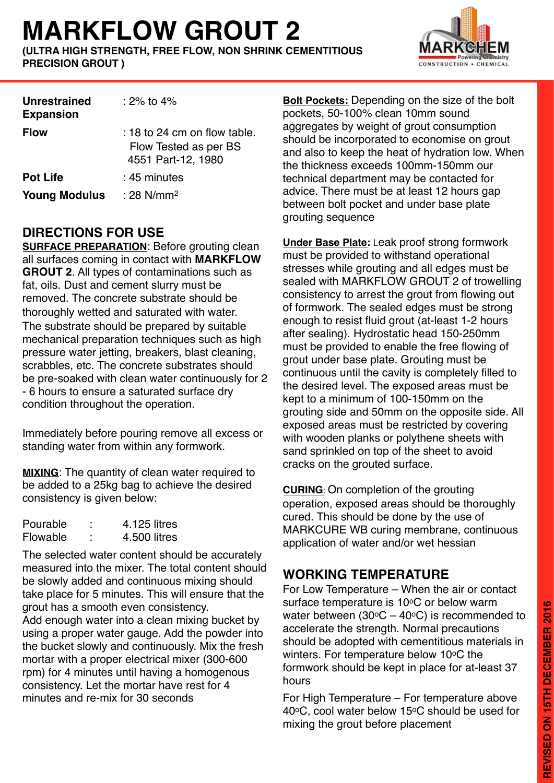# **MARKFLOW GROUT 2**

**(ULTRA HIGH STRENGTH, FREE FLOW, NON SHRINK CEMENTITIOUS PRECISION GROUT )**



| <b>Unrestrained</b><br><b>Expansion</b> | $:2\%$ to 4%                                                                  |
|-----------------------------------------|-------------------------------------------------------------------------------|
| <b>Flow</b>                             | $: 18$ to 24 cm on flow table.<br>Flow Tested as per BS<br>4551 Part-12, 1980 |
| <b>Pot Life</b>                         | : 45 minutes                                                                  |
| <b>Young Modulus</b>                    | : 28 N/mm <sup>2</sup>                                                        |

## **DIRECTIONS FOR USE**

**SURFACE PREPARATION**: Before grouting clean all surfaces coming in contact with **MARKFLOW GROUT 2**. All types of contaminations such as fat, oils. Dust and cement slurry must be removed. The concrete substrate should be thoroughly wetted and saturated with water. The substrate should be prepared by suitable mechanical preparation techniques such as high pressure water jetting, breakers, blast cleaning, scrabbles, etc. The concrete substrates should be pre-soaked with clean water continuously for 2 - 6 hours to ensure a saturated surface dry condition throughout the operation.

Immediately before pouring remove all excess or standing water from within any formwork.

**MIXING**: The quantity of clean water required to be added to a 25kg bag to achieve the desired consistency is given below:

| Pourable | ٠<br>٠ | 4.125 litres |
|----------|--------|--------------|
| Flowable | ٠<br>٠ | 4.500 litres |

The selected water content should be accurately measured into the mixer. The total content should be slowly added and continuous mixing should take place for 5 minutes. This will ensure that the grout has a smooth even consistency. Add enough water into a clean mixing bucket by using a proper water gauge. Add the powder into the bucket slowly and continuously. Mix the fresh mortar with a proper electrical mixer (300-600 rpm) for 4 minutes until having a homogenous consistency. Let the mortar have rest for 4 minutes and re-mix for 30 seconds

**Bolt Pockets:** Depending on the size of the bolt pockets, 50-100% clean 10mm sound aggregates by weight of grout consumption should be incorporated to economise on grout and also to keep the heat of hydration low. When the thickness exceeds 100mm-150mm our technical department may be contacted for advice. There must be at least 12 hours gap between bolt pocket and under base plate grouting sequence

**Under Base Plate:** Leak proof strong formwork must be provided to withstand operational stresses while grouting and all edges must be sealed with MARKFLOW GROUT 2 of trowelling consistency to arrest the grout from flowing out of formwork. The sealed edges must be strong enough to resist fluid grout (at-least 1-2 hours after sealing). Hydrostatic head 150-250mm must be provided to enable the free flowing of grout under base plate. Grouting must be continuous until the cavity is completely filled to the desired level. The exposed areas must be kept to a minimum of 100-150mm on the grouting side and 50mm on the opposite side. All exposed areas must be restricted by covering with wooden planks or polythene sheets with sand sprinkled on top of the sheet to avoid cracks on the grouted surface.

**CURING**: On completion of the grouting operation, exposed areas should be thoroughly cured. This should be done by the use of MARKCURE WB curing membrane, continuous application of water and/or wet hessian

## **WORKING TEMPERATURE**

For Low Temperature – When the air or contact surface temperature is 10°C or below warm water between (30 $\degree$ C – 40 $\degree$ C) is recommended to accelerate the strength. Normal precautions should be adopted with cementitious materials in winters. For temperature below 10°C the formwork should be kept in place for at-least 37 hours

For High Temperature – For temperature above 40°C, cool water below 15°C should be used for mixing the grout before placement